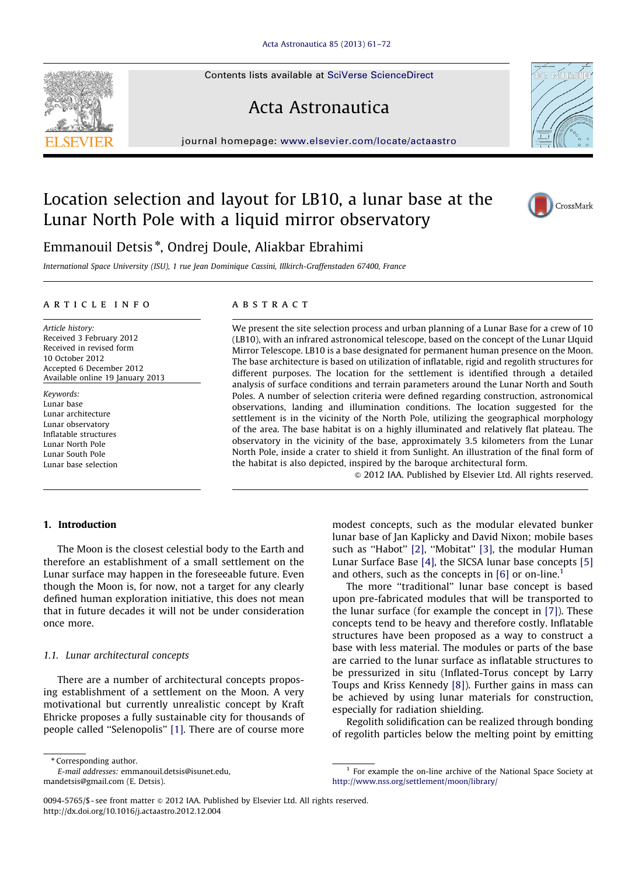Contents lists available at [SciVerse ScienceDirect](www.elsevier.com/locate/actaastro)

# Acta Astronautica

journal homepage: <www.elsevier.com/locate/actaastro>

# Location selection and layout for LB10, a lunar base at the Lunar North Pole with a liquid mirror observatory



International Space University (ISU), 1 rue Jean Dominique Cassini, Illkirch-Graffenstaden 67400, France

#### article info

Article history: Received 3 February 2012 Received in revised form 10 October 2012 Accepted 6 December 2012 Available online 19 January 2013

Keywords: Lunar base Lunar architecture Lunar observatory Inflatable structures Lunar North Pole Lunar South Pole Lunar base selection

# **ABSTRACT**

We present the site selection process and urban planning of a Lunar Base for a crew of 10 (LB10), with an infrared astronomical telescope, based on the concept of the Lunar LIquid Mirror Telescope. LB10 is a base designated for permanent human presence on the Moon. The base architecture is based on utilization of inflatable, rigid and regolith structures for different purposes. The location for the settlement is identified through a detailed analysis of surface conditions and terrain parameters around the Lunar North and South Poles. A number of selection criteria were defined regarding construction, astronomical observations, landing and illumination conditions. The location suggested for the settlement is in the vicinity of the North Pole, utilizing the geographical morphology of the area. The base habitat is on a highly illuminated and relatively flat plateau. The observatory in the vicinity of the base, approximately 3.5 kilometers from the Lunar North Pole, inside a crater to shield it from Sunlight. An illustration of the final form of the habitat is also depicted, inspired by the baroque architectural form.

 $\circ$  2012 IAA. Published by Elsevier Ltd. All rights reserved.

## 1. Introduction

The Moon is the closest celestial body to the Earth and therefore an establishment of a small settlement on the Lunar surface may happen in the foreseeable future. Even though the Moon is, for now, not a target for any clearly defined human exploration initiative, this does not mean that in future decades it will not be under consideration once more.

## 1.1. Lunar architectural concepts

There are a number of architectural concepts proposing establishment of a settlement on the Moon. A very motivational but currently unrealistic concept by Kraft Ehricke proposes a fully sustainable city for thousands of people called ''Selenopolis'' [\[1\].](#page--1-0) There are of course more

\* Corresponding author.

E-mail addresses: [emmanouil.detsis@isunet.edu,](mailto:emmanouil.detsis@isunet.edu)



The more ''traditional'' lunar base concept is based upon pre-fabricated modules that will be transported to the lunar surface (for example the concept in [\[7\]](#page--1-0)). These concepts tend to be heavy and therefore costly. Inflatable structures have been proposed as a way to construct a base with less material. The modules or parts of the base are carried to the lunar surface as inflatable structures to be pressurized in situ (Inflated-Torus concept by Larry Toups and Kriss Kennedy [\[8\]](#page--1-0)). Further gains in mass can be achieved by using lunar materials for construction, especially for radiation shielding.

Regolith solidification can be realized through bonding of regolith particles below the melting point by emitting

0094-5765/\$ - see front matter @ 2012 IAA. Published by Elsevier Ltd. All rights reserved. <http://dx.doi.org/10.1016/j.actaastro.2012.12.004>





CrossMark

[mandetsis@gmail.com \(E. Detsis\).](mailto:mandetsis@gmail.com)

 $1$  For example the on-line archive of the National Space Society at <http://www.nss.org/settlement/moon/library/>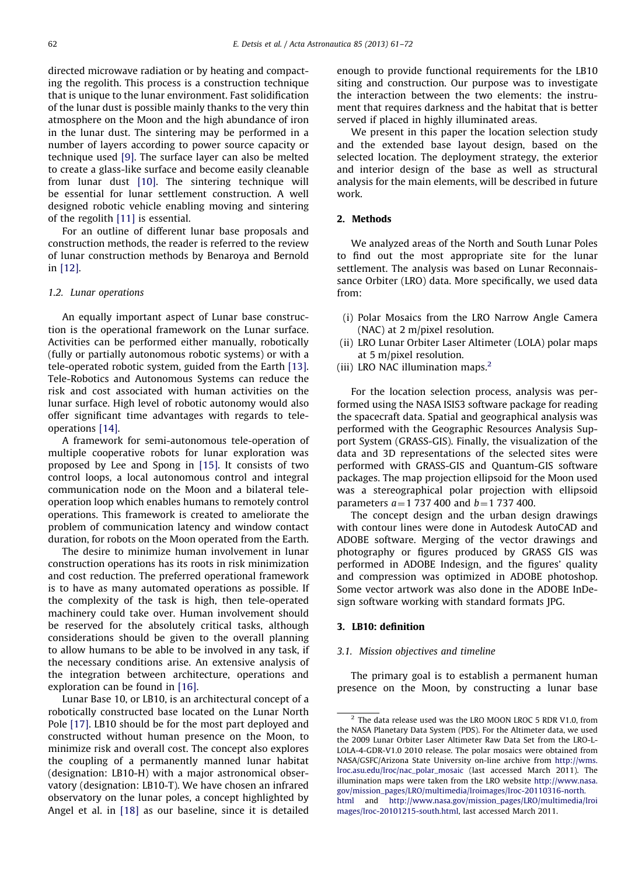directed microwave radiation or by heating and compacting the regolith. This process is a construction technique that is unique to the lunar environment. Fast solidification of the lunar dust is possible mainly thanks to the very thin atmosphere on the Moon and the high abundance of iron in the lunar dust. The sintering may be performed in a number of layers according to power source capacity or technique used [\[9\].](#page--1-0) The surface layer can also be melted to create a glass-like surface and become easily cleanable from lunar dust [\[10\]](#page--1-0). The sintering technique will be essential for lunar settlement construction. A well designed robotic vehicle enabling moving and sintering of the regolith [\[11\]](#page--1-0) is essential.

For an outline of different lunar base proposals and construction methods, the reader is referred to the review of lunar construction methods by Benaroya and Bernold in [\[12\].](#page--1-0)

# 1.2. Lunar operations

An equally important aspect of Lunar base construction is the operational framework on the Lunar surface. Activities can be performed either manually, robotically (fully or partially autonomous robotic systems) or with a tele-operated robotic system, guided from the Earth [\[13\]](#page--1-0). Tele-Robotics and Autonomous Systems can reduce the risk and cost associated with human activities on the lunar surface. High level of robotic autonomy would also offer significant time advantages with regards to teleoperations [\[14\].](#page--1-0)

A framework for semi-autonomous tele-operation of multiple cooperative robots for lunar exploration was proposed by Lee and Spong in [\[15\].](#page--1-0) It consists of two control loops, a local autonomous control and integral communication node on the Moon and a bilateral teleoperation loop which enables humans to remotely control operations. This framework is created to ameliorate the problem of communication latency and window contact duration, for robots on the Moon operated from the Earth.

The desire to minimize human involvement in lunar construction operations has its roots in risk minimization and cost reduction. The preferred operational framework is to have as many automated operations as possible. If the complexity of the task is high, then tele-operated machinery could take over. Human involvement should be reserved for the absolutely critical tasks, although considerations should be given to the overall planning to allow humans to be able to be involved in any task, if the necessary conditions arise. An extensive analysis of the integration between architecture, operations and exploration can be found in [\[16\].](#page--1-0)

Lunar Base 10, or LB10, is an architectural concept of a robotically constructed base located on the Lunar North Pole [\[17\]](#page--1-0). LB10 should be for the most part deployed and constructed without human presence on the Moon, to minimize risk and overall cost. The concept also explores the coupling of a permanently manned lunar habitat (designation: LB10-H) with a major astronomical observatory (designation: LB10-T). We have chosen an infrared observatory on the lunar poles, a concept highlighted by Angel et al. in [\[18\]](#page--1-0) as our baseline, since it is detailed

enough to provide functional requirements for the LB10 siting and construction. Our purpose was to investigate the interaction between the two elements: the instrument that requires darkness and the habitat that is better served if placed in highly illuminated areas.

We present in this paper the location selection study and the extended base layout design, based on the selected location. The deployment strategy, the exterior and interior design of the base as well as structural analysis for the main elements, will be described in future work.

## 2. Methods

We analyzed areas of the North and South Lunar Poles to find out the most appropriate site for the lunar settlement. The analysis was based on Lunar Reconnaissance Orbiter (LRO) data. More specifically, we used data from:

- (i) Polar Mosaics from the LRO Narrow Angle Camera (NAC) at 2 m/pixel resolution.
- (ii) LRO Lunar Orbiter Laser Altimeter (LOLA) polar maps at 5 m/pixel resolution.
- (iii) LRO NAC illumination maps.<sup>2</sup>

For the location selection process, analysis was performed using the NASA ISIS3 software package for reading the spacecraft data. Spatial and geographical analysis was performed with the Geographic Resources Analysis Support System (GRASS-GIS). Finally, the visualization of the data and 3D representations of the selected sites were performed with GRASS-GIS and Quantum-GIS software packages. The map projection ellipsoid for the Moon used was a stereographical polar projection with ellipsoid parameters  $a=1$  737 400 and  $b=1$  737 400.

The concept design and the urban design drawings with contour lines were done in Autodesk AutoCAD and ADOBE software. Merging of the vector drawings and photography or figures produced by GRASS GIS was performed in ADOBE Indesign, and the figures' quality and compression was optimized in ADOBE photoshop. Some vector artwork was also done in the ADOBE InDesign software working with standard formats JPG.

#### 3. LB10: definition

#### 3.1. Mission objectives and timeline

The primary goal is to establish a permanent human presence on the Moon, by constructing a lunar base

<sup>&</sup>lt;sup>2</sup> The data release used was the LRO MOON LROC 5 RDR V1.0, from the NASA Planetary Data System (PDS). For the Altimeter data, we used the 2009 Lunar Orbiter Laser Altimeter Raw Data Set from the LRO-L-LOLA-4-GDR-V1.0 2010 release. The polar mosaics were obtained from NASA/GSFC/Arizona State University on-line archive from [http://wms.](http://wms.lroc.asu.edu/lroc/nac_polar_mosaic) [lroc.asu.edu/lroc/nac\\_polar\\_mosaic](http://wms.lroc.asu.edu/lroc/nac_polar_mosaic) (last accessed March 2011). The illumination maps were taken from the LRO website [http://www.nasa.](http://www.nasa.gov/mission_pages/LRO/multimedia/lroimages/lroc-20110316-north.html) [gov/mission\\_pages/LRO/multimedia/lroimages/lroc-20110316-north.](http://www.nasa.gov/mission_pages/LRO/multimedia/lroimages/lroc-20110316-north.html) [html](http://www.nasa.gov/mission_pages/LRO/multimedia/lroimages/lroc-20110316-north.html) and [http://www.nasa.gov/mission\\_pages/LRO/multimedia/lroi](http://www.nasa.gov/mission_pages/LRO/multimedia/lroimages/lroc-20101215-south.html) [mages/lroc-20101215-south.html](http://www.nasa.gov/mission_pages/LRO/multimedia/lroimages/lroc-20101215-south.html), last accessed March 2011.